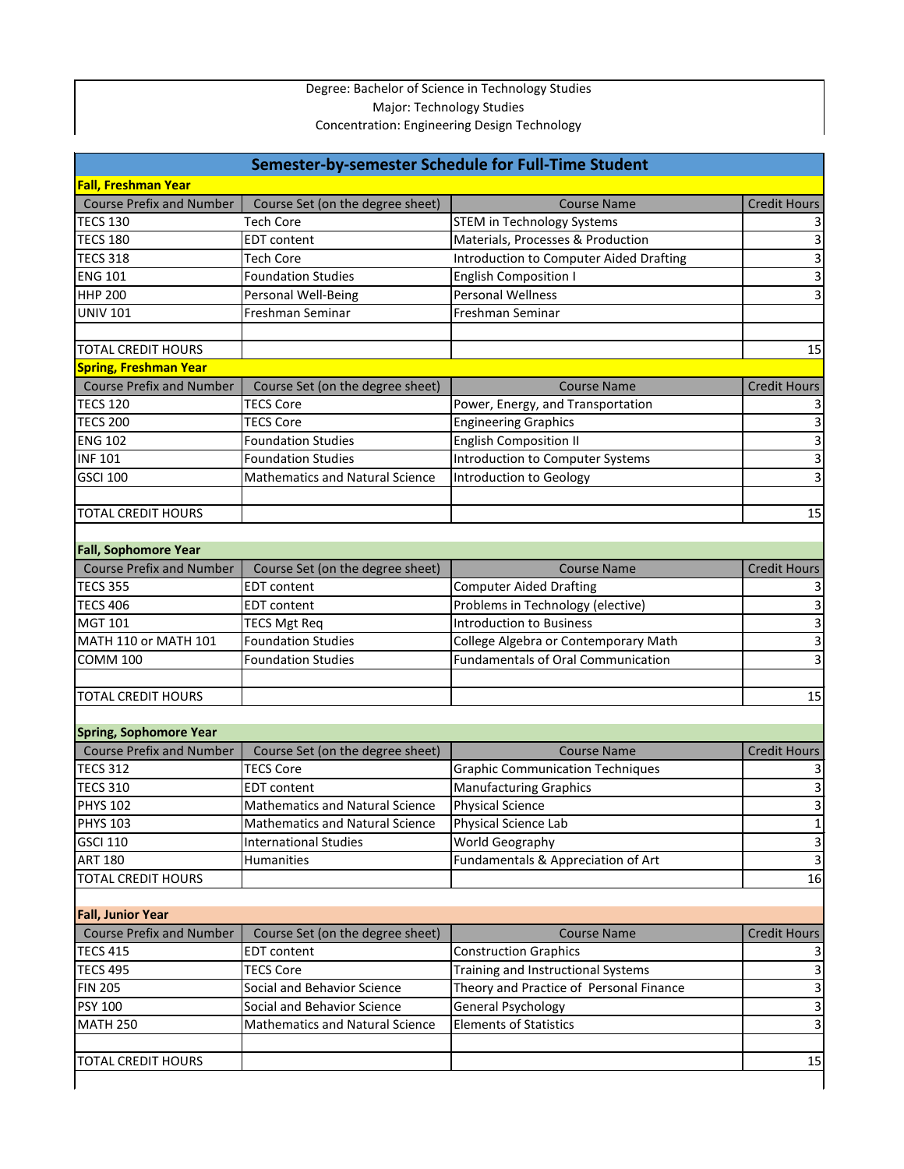## Degree: Bachelor of Science in Technology Studies Major: Technology Studies Concentration: Engineering Design Technology

| Semester-by-semester Schedule for Full-Time Student |                                        |                                                                    |                     |  |
|-----------------------------------------------------|----------------------------------------|--------------------------------------------------------------------|---------------------|--|
| <b>Fall, Freshman Year</b>                          |                                        |                                                                    |                     |  |
| <b>Course Prefix and Number</b>                     | Course Set (on the degree sheet)       | <b>Course Name</b>                                                 | <b>Credit Hours</b> |  |
| <b>TECS 130</b>                                     | <b>Tech Core</b>                       | <b>STEM in Technology Systems</b>                                  |                     |  |
| <b>TECS 180</b>                                     | <b>EDT</b> content                     | Materials, Processes & Production                                  |                     |  |
| <b>TECS 318</b>                                     | <b>Tech Core</b>                       | <b>Introduction to Computer Aided Drafting</b>                     | 3                   |  |
| <b>ENG 101</b>                                      | <b>Foundation Studies</b>              | <b>English Composition I</b>                                       | 3                   |  |
| <b>HHP 200</b>                                      | Personal Well-Being                    | <b>Personal Wellness</b>                                           |                     |  |
| <b>UNIV 101</b>                                     | Freshman Seminar                       | Freshman Seminar                                                   |                     |  |
|                                                     |                                        |                                                                    |                     |  |
| <b>TOTAL CREDIT HOURS</b>                           |                                        |                                                                    | 15                  |  |
| <b>Spring, Freshman Year</b>                        |                                        |                                                                    |                     |  |
| <b>Course Prefix and Number</b>                     | Course Set (on the degree sheet)       | <b>Course Name</b>                                                 | <b>Credit Hours</b> |  |
| <b>TECS 120</b>                                     | <b>TECS Core</b>                       | Power, Energy, and Transportation                                  |                     |  |
| <b>TECS 200</b>                                     | <b>TECS Core</b>                       | <b>Engineering Graphics</b>                                        |                     |  |
| <b>ENG 102</b>                                      | <b>Foundation Studies</b>              | <b>English Composition II</b>                                      | 3                   |  |
| <b>INF 101</b>                                      | <b>Foundation Studies</b>              | <b>Introduction to Computer Systems</b>                            | 3                   |  |
| <b>GSCI 100</b>                                     | <b>Mathematics and Natural Science</b> | <b>Introduction to Geology</b>                                     |                     |  |
|                                                     |                                        |                                                                    |                     |  |
| <b>TOTAL CREDIT HOURS</b>                           |                                        |                                                                    | 15                  |  |
|                                                     |                                        |                                                                    |                     |  |
| <b>Fall, Sophomore Year</b>                         |                                        |                                                                    |                     |  |
| <b>Course Prefix and Number</b>                     | Course Set (on the degree sheet)       | <b>Course Name</b>                                                 | <b>Credit Hours</b> |  |
| <b>TECS 355</b>                                     | <b>EDT</b> content                     | <b>Computer Aided Drafting</b>                                     |                     |  |
| <b>TECS 406</b>                                     | <b>EDT</b> content                     | Problems in Technology (elective)                                  | 3                   |  |
| <b>MGT 101</b>                                      | <b>TECS Mgt Req</b>                    | <b>Introduction to Business</b>                                    | 3                   |  |
| MATH 110 or MATH 101                                | <b>Foundation Studies</b>              | College Algebra or Contemporary Math                               | 3                   |  |
| <b>COMM 100</b>                                     | <b>Foundation Studies</b>              | <b>Fundamentals of Oral Communication</b>                          | 3                   |  |
|                                                     |                                        |                                                                    |                     |  |
| <b>TOTAL CREDIT HOURS</b>                           |                                        |                                                                    | 15                  |  |
|                                                     |                                        |                                                                    |                     |  |
| <b>Spring, Sophomore Year</b>                       |                                        |                                                                    |                     |  |
| <b>Course Prefix and Number</b>                     | Course Set (on the degree sheet)       | <b>Course Name</b>                                                 | <b>Credit Hours</b> |  |
| <b>TECS 312</b>                                     | <b>TECS Core</b>                       | <b>Graphic Communication Techniques</b>                            |                     |  |
| <b>TECS 310</b>                                     | <b>EDT</b> content                     | <b>Manufacturing Graphics</b>                                      | $\mathbf{3}$        |  |
| <b>PHYS 102</b>                                     | <b>Mathematics and Natural Science</b> | <b>Physical Science</b>                                            |                     |  |
| <b>PHYS 103</b>                                     | <b>Mathematics and Natural Science</b> | Physical Science Lab                                               | $\mathbf{1}$        |  |
| <b>GSCI 110</b>                                     | <b>International Studies</b>           | World Geography                                                    | 3                   |  |
| <b>ART 180</b>                                      | Humanities                             | Fundamentals & Appreciation of Art                                 | 3                   |  |
| <b>TOTAL CREDIT HOURS</b>                           |                                        |                                                                    | 16                  |  |
|                                                     |                                        |                                                                    |                     |  |
| <b>Fall, Junior Year</b>                            |                                        |                                                                    |                     |  |
| <b>Course Prefix and Number</b>                     | Course Set (on the degree sheet)       | <b>Course Name</b>                                                 | <b>Credit Hours</b> |  |
| <b>TECS 415</b>                                     | <b>EDT</b> content                     |                                                                    |                     |  |
| <b>TECS 495</b>                                     | <b>TECS Core</b>                       | <b>Construction Graphics</b><br>Training and Instructional Systems | $\mathbf{3}$        |  |
| <b>FIN 205</b>                                      | Social and Behavior Science            | Theory and Practice of Personal Finance                            | 3                   |  |
|                                                     |                                        |                                                                    |                     |  |
| <b>PSY 100</b>                                      | Social and Behavior Science            | <b>General Psychology</b>                                          | $\overline{3}$      |  |
| <b>MATH 250</b>                                     | <b>Mathematics and Natural Science</b> | <b>Elements of Statistics</b>                                      | 3                   |  |
|                                                     |                                        |                                                                    |                     |  |
| <b>TOTAL CREDIT HOURS</b>                           |                                        |                                                                    | 15                  |  |
|                                                     |                                        |                                                                    |                     |  |